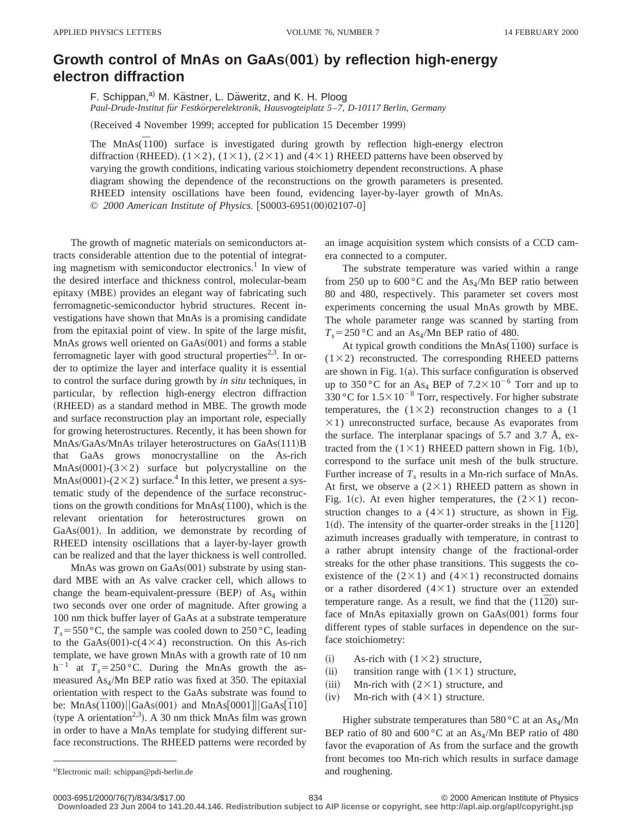## **Growth control of MnAs on GaAs**"**001**… **by reflection high-energy electron diffraction**

F. Schippan,<sup>a)</sup> M. Kästner, L. Däweritz, and K. H. Ploog *Paul-Drude-Institut fu¨r Festko¨rperelektronik, Hausvogteiplatz 5*–*7, D-10117 Berlin, Germany*

(Received 4 November 1999; accepted for publication 15 December 1999)

The MnAs $(1100)$  surface is investigated during growth by reflection high-energy electron diffraction (RHEED).  $(1\times2)$ ,  $(1\times1)$ ,  $(2\times1)$  and  $(4\times1)$  RHEED patterns have been observed by varying the growth conditions, indicating various stoichiometry dependent reconstructions. A phase diagram showing the dependence of the reconstructions on the growth parameters is presented. RHEED intensity oscillations have been found, evidencing layer-by-layer growth of MnAs. © 2000 American Institute of Physics. [S0003-6951(00)02107-0]

The growth of magnetic materials on semiconductors attracts considerable attention due to the potential of integrating magnetism with semiconductor electronics.<sup>1</sup> In view of the desired interface and thickness control, molecular-beam epitaxy (MBE) provides an elegant way of fabricating such ferromagnetic-semiconductor hybrid structures. Recent investigations have shown that MnAs is a promising candidate from the epitaxial point of view. In spite of the large misfit, MnAs grows well oriented on  $GaAs(001)$  and forms a stable ferromagnetic layer with good structural properties<sup>2,3</sup>. In order to optimize the layer and interface quality it is essential to control the surface during growth by *in situ* techniques, in particular, by reflection high-energy electron diffraction (RHEED) as a standard method in MBE. The growth mode and surface reconstruction play an important role, especially for growing heterostructures. Recently, it has been shown for  $MnAs/GaAs/MnAs$  trilayer heterostructures on  $GaAs(111)B$ that GaAs grows monocrystalline on the As-rich  $MnAs(0001)-(3\times2)$  surface but polycrystalline on the MnAs $(0001)$ - $(2 \times 2)$  surface.<sup>4</sup> In this letter, we present a systematic study of the dependence of the surface reconstructions on the growth conditions for  $MnAs(\overline{1}100)$ , which is the relevant orientation for heterostructures grown on  $GaAs(001)$ . In addition, we demonstrate by recording of RHEED intensity oscillations that a layer-by-layer growth can be realized and that the layer thickness is well controlled.

MnAs was grown on  $GaAs(001)$  substrate by using standard MBE with an As valve cracker cell, which allows to change the beam-equivalent-pressure  $(BEP)$  of As<sub>4</sub> within two seconds over one order of magnitude. After growing a 100 nm thick buffer layer of GaAs at a substrate temperature  $T_s$ =550 °C, the sample was cooled down to 250 °C, leading to the GaAs $(001)$ -c(4×4) reconstruction. On this As-rich template, we have grown MnAs with a growth rate of 10 nm  $h^{-1}$  at  $T_s = 250$  °C. During the MnAs growth the asmeasured  $As<sub>4</sub>/Mn$  BEP ratio was fixed at 350. The epitaxial orientation with respect to the GaAs substrate was found to be: MnAs $(\overline{1100})$ ||GaAs $(001)$  and MnAs $[0001]$ ||GaAs $[\overline{110}]$ (type A orientation<sup>2,3</sup>). A 30 nm thick MnAs film was grown in order to have a MnAs template for studying different surface reconstructions. The RHEED patterns were recorded by an image acquisition system which consists of a CCD camera connected to a computer.

The substrate temperature was varied within a range from 250 up to 600 °C and the  $As<sub>4</sub>/Mn$  BEP ratio between 80 and 480, respectively. This parameter set covers most experiments concerning the usual MnAs growth by MBE. The whole parameter range was scanned by starting from  $T_s = 250$  °C and an As<sub>4</sub>/Mn BEP ratio of 480.

At typical growth conditions the MnAs( $\overline{1}100$ ) surface is  $(1\times2)$  reconstructed. The corresponding RHEED patterns are shown in Fig.  $1(a)$ . This surface configuration is observed up to 350 °C for an As<sub>4</sub> BEP of  $7.2 \times 10^{-6}$  Torr and up to 330 °C for  $1.5 \times 10^{-8}$  Torr, respectively. For higher substrate temperatures, the  $(1\times2)$  reconstruction changes to a (1)  $\times$ 1) unreconstructed surface, because As evaporates from the surface. The interplanar spacings of 5.7 and 3.7 Å, extracted from the  $(1\times1)$  RHEED pattern shown in Fig. 1(b), correspond to the surface unit mesh of the bulk structure. Further increase of  $T_s$  results in a Mn-rich surface of MnAs. At first, we observe a  $(2\times1)$  RHEED pattern as shown in Fig. 1(c). At even higher temperatures, the  $(2\times1)$  reconstruction changes to a  $(4 \times 1)$  structure, as shown in Fig. 1(d). The intensity of the quarter-order streaks in the  $[11\overline{2}0]$ azimuth increases gradually with temperature, in contrast to a rather abrupt intensity change of the fractional-order streaks for the other phase transitions. This suggests the coexistence of the  $(2\times1)$  and  $(4\times1)$  reconstructed domains or a rather disordered  $(4\times1)$  structure over an extended temperature range. As a result, we find that the  $(11\overline{2}0)$  surface of MnAs epitaxially grown on  $GaAs(001)$  forms four different types of stable surfaces in dependence on the surface stoichiometry:

- (i) As-rich with  $(1\times2)$  structure,
- (ii) transition range with  $(1 \times 1)$  structure,
- (iii) Mn-rich with  $(2\times1)$  structure, and
- (iv) Mn-rich with  $(4 \times 1)$  structure.

Higher substrate temperatures than 580 °C at an  $\text{As}_4/\text{Mn}$ BEP ratio of 80 and 600 °C at an  $\text{As}_4/\text{Mn}$  BEP ratio of 480 favor the evaporation of As from the surface and the growth front becomes too Mn-rich which results in surface damage

a)Electronic mail: schippan@pdi-berlin.de and roughening.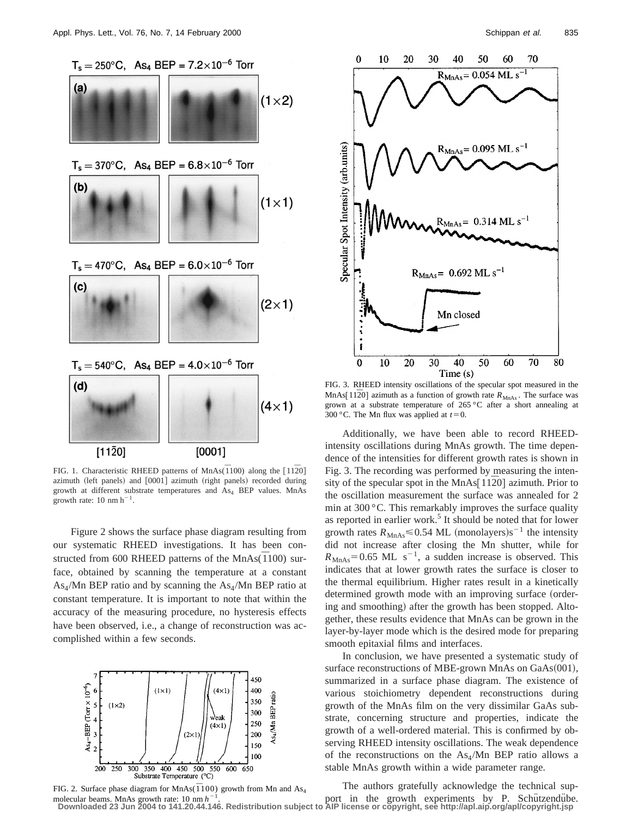



FIG. 1. Characteristic RHEED patterns of MnAs( $\overline{1100}$ ) along the [1120] azimuth (left panels) and [0001] azimuth (right panels) recorded during growth at different substrate temperatures and  $As<sub>4</sub> BEP$  values. MnAs growth rate:  $10 \text{ nm h}^{-1}$ .

Figure 2 shows the surface phase diagram resulting from our systematic RHEED investigations. It has been constructed from 600 RHEED patterns of the MnAs $(\overline{1}100)$  surface, obtained by scanning the temperature at a constant  $As<sub>4</sub>/Mn$  BEP ratio and by scanning the As<sub>4</sub>/Mn BEP ratio at constant temperature. It is important to note that within the accuracy of the measuring procedure, no hysteresis effects have been observed, i.e., a change of reconstruction was accomplished within a few seconds.







FIG. 3. RHEED intensity oscillations of the specular spot measured in the MnAs[ $11\overline{2}0$ ] azimuth as a function of growth rate  $R_{MnAs}$ . The surface was grown at a substrate temperature of 265 °C after a short annealing at 300 °C. The Mn flux was applied at  $t=0$ .

Additionally, we have been able to record RHEEDintensity oscillations during MnAs growth. The time dependence of the intensities for different growth rates is shown in Fig. 3. The recording was performed by measuring the intensity of the specular spot in the MnAs $[11\overline{2}0]$  azimuth. Prior to the oscillation measurement the surface was annealed for 2 min at 300 °C. This remarkably improves the surface quality as reported in earlier work.<sup>5</sup> It should be noted that for lower growth rates  $R_{\text{MnAs}} \leq 0.54$  ML (monolayers)s<sup>-1</sup> the intensity did not increase after closing the Mn shutter, while for  $R_{MnAs} = 0.65$  ML s<sup>-1</sup>, a sudden increase is observed. This indicates that at lower growth rates the surface is closer to the thermal equilibrium. Higher rates result in a kinetically determined growth mode with an improving surface (ordering and smoothing) after the growth has been stopped. Altogether, these results evidence that MnAs can be grown in the layer-by-layer mode which is the desired mode for preparing smooth epitaxial films and interfaces.

In conclusion, we have presented a systematic study of surface reconstructions of MBE-grown MnAs on  $GaAs(001)$ , summarized in a surface phase diagram. The existence of various stoichiometry dependent reconstructions during growth of the MnAs film on the very dissimilar GaAs substrate, concerning structure and properties, indicate the growth of a well-ordered material. This is confirmed by observing RHEED intensity oscillations. The weak dependence of the reconstructions on the  $As<sub>4</sub>/Mn$  BEP ratio allows a stable MnAs growth within a wide parameter range.

The authors gratefully acknowledge the technical supmolecular beams. MnAs growth rate: 10 nm  $h^{-1}$ .<br>Downloaded 23 Jun 2004 to 141.20.44.146. Redistribution subject to AIP license or copyright, see http://apl.aip.org/apl/copyright.jsp